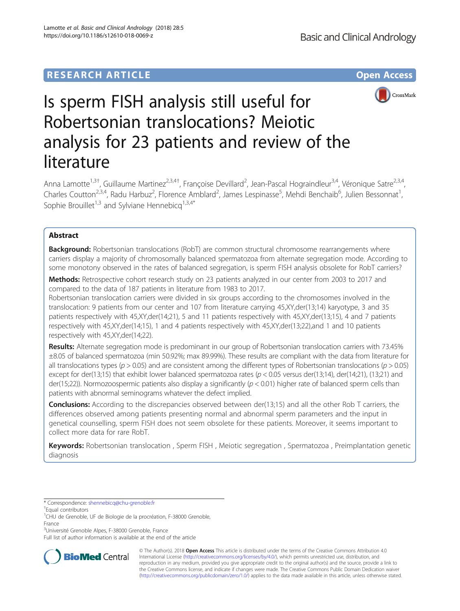## **RESEARCH ARTICLE Example 2014 12:30 The Contract of Contract ACCESS**



# Is sperm FISH analysis still useful for Robertsonian translocations? Meiotic analysis for 23 patients and review of the literature

Anna Lamotte<sup>1,3†</sup>, Guillaume Martinez<sup>2,3,4†</sup>, Françoise Devillard<sup>2</sup>, Jean-Pascal Hograindleur<sup>3,4</sup>, Véronique Satre<sup>2,3,4</sup>, Charles Coutton<sup>2,3,4</sup>, Radu Harbuz<sup>2</sup>, Florence Amblard<sup>2</sup>, James Lespinasse<sup>5</sup>, Mehdi Benchaib<sup>6</sup>, Julien Bessonnat<sup>1</sup> , Sophie Brouillet<sup>1,3</sup> and Sylviane Hennebicq<sup>1,3,4\*</sup>

## Abstract

**Background:** Robertsonian translocations (RobT) are common structural chromosome rearrangements where carriers display a majority of chromosomally balanced spermatozoa from alternate segregation mode. According to some monotony observed in the rates of balanced segregation, is sperm FISH analysis obsolete for RobT carriers?

Methods: Retrospective cohort research study on 23 patients analyzed in our center from 2003 to 2017 and compared to the data of 187 patients in literature from 1983 to 2017.

Robertsonian translocation carriers were divided in six groups according to the chromosomes involved in the translocation: 9 patients from our center and 107 from literature carrying 45,XY,der(13;14) karyotype, 3 and 35 patients respectively with 45,XY,der(14;21), 5 and 11 patients respectively with 45,XY,der(13;15), 4 and 7 patients respectively with 45,XY,der(14;15), 1 and 4 patients respectively with 45,XY,der(13;22),and 1 and 10 patients respectively with 45,XY,der(14;22).

Results: Alternate segregation mode is predominant in our group of Robertsonian translocation carriers with 73.45% ±8.05 of balanced spermatozoa (min 50.92%; max 89.99%). These results are compliant with the data from literature for all translocations types ( $p > 0.05$ ) and are consistent among the different types of Robertsonian translocations ( $p > 0.05$ ) except for der(13;15) that exhibit lower balanced spermatozoa rates ( $p < 0.05$  versus der(13;14), der(14;21), (13;21) and der(15;22)). Normozoospermic patients also display a significantly ( $p < 0.01$ ) higher rate of balanced sperm cells than patients with abnormal seminograms whatever the defect implied.

Conclusions: According to the discrepancies observed between der(13;15) and all the other Rob T carriers, the differences observed among patients presenting normal and abnormal sperm parameters and the input in genetical counselling, sperm FISH does not seem obsolete for these patients. Moreover, it seems important to collect more data for rare RobT.

Keywords: Robertsonian translocation, Sperm FISH, Meiotic segregation, Spermatozoa, Preimplantation genetic diagnosis

<sup>3</sup>Université Grenoble Alpes, F-38000 Grenoble, France

Full list of author information is available at the end of the article



© The Author(s). 2018 Open Access This article is distributed under the terms of the Creative Commons Attribution 4.0 International License [\(http://creativecommons.org/licenses/by/4.0/](http://creativecommons.org/licenses/by/4.0/)), which permits unrestricted use, distribution, and reproduction in any medium, provided you give appropriate credit to the original author(s) and the source, provide a link to the Creative Commons license, and indicate if changes were made. The Creative Commons Public Domain Dedication waiver [\(http://creativecommons.org/publicdomain/zero/1.0/](http://creativecommons.org/publicdomain/zero/1.0/)) applies to the data made available in this article, unless otherwise stated.

<sup>\*</sup> Correspondence: [shennebicq@chu-grenoble.fr](mailto:shennebicq@chu-grenoble.fr) †

<sup>&</sup>lt;sup>†</sup>Equal contributors

<sup>&</sup>lt;sup>1</sup>CHU de Grenoble, UF de Biologie de la procréation, F-38000 Grenoble, France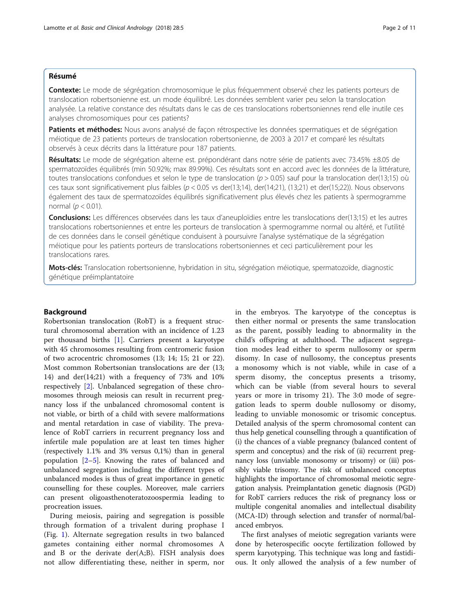## Résumé

Contexte: Le mode de ségrégation chromosomique le plus fréquemment observé chez les patients porteurs de translocation robertsonienne est. un mode équilibré. Les données semblent varier peu selon la translocation analysée. La relative constance des résultats dans le cas de ces translocations robertsoniennes rend elle inutile ces analyses chromosomiques pour ces patients?

Patients et méthodes: Nous avons analysé de façon rétrospective les données spermatiques et de ségrégation méiotique de 23 patients porteurs de translocation robertsonienne, de 2003 à 2017 et comparé les résultats observés à ceux décrits dans la littérature pour 187 patients.

Résultats: Le mode de ségrégation alterne est. prépondérant dans notre série de patients avec 73.45% ±8.05 de spermatozoïdes équilibrés (min 50.92%; max 89.99%). Ces résultats sont en accord avec les données de la littérature, toutes translocations confondues et selon le type de translocation ( $p > 0.05$ ) sauf pour la translocation der(13;15) où ces taux sont significativement plus faibles ( $p < 0.05$  vs der(13;14), der(14;21), (13;21) et der(15;22)). Nous observons également des taux de spermatozoïdes équilibrés significativement plus élevés chez les patients à spermogramme normal ( $p < 0.01$ ).

**Conclusions:** Les différences observées dans les taux d'aneuploïdies entre les translocations der(13;15) et les autres translocations robertsoniennes et entre les porteurs de translocation à spermogramme normal ou altéré, et l'utilité de ces données dans le conseil génétique conduisent à poursuivre l'analyse systématique de la ségrégation méiotique pour les patients porteurs de translocations robertsoniennes et ceci particulièrement pour les translocations rares.

Mots-clés: Translocation robertsonienne, hybridation in situ, ségrégation méiotique, spermatozoïde, diagnostic génétique préimplantatoire

## Background

Robertsonian translocation (RobT) is a frequent structural chromosomal aberration with an incidence of 1.23 per thousand births [\[1](#page-9-0)]. Carriers present a karyotype with 45 chromosomes resulting from centromeric fusion of two acrocentric chromosomes (13; 14; 15; 21 or 22). Most common Robertsonian translocations are der (13; 14) and der(14;21) with a frequency of 73% and 10% respectively [[2\]](#page-9-0). Unbalanced segregation of these chromosomes through meiosis can result in recurrent pregnancy loss if the unbalanced chromosomal content is not viable, or birth of a child with severe malformations and mental retardation in case of viability. The prevalence of RobT carriers in recurrent pregnancy loss and infertile male population are at least ten times higher (respectively 1.1% and 3% versus 0,1%) than in general population  $[2-5]$  $[2-5]$  $[2-5]$  $[2-5]$ . Knowing the rates of balanced and unbalanced segregation including the different types of unbalanced modes is thus of great importance in genetic counselling for these couples. Moreover, male carriers can present oligoasthenoteratozoospermia leading to procreation issues.

During meiosis, pairing and segregation is possible through formation of a trivalent during prophase I (Fig. [1](#page-2-0)). Alternate segregation results in two balanced gametes containing either normal chromosomes A and B or the derivate der(A;B). FISH analysis does not allow differentiating these, neither in sperm, nor

in the embryos. The karyotype of the conceptus is then either normal or presents the same translocation as the parent, possibly leading to abnormality in the child's offspring at adulthood. The adjacent segregation modes lead either to sperm nullosomy or sperm disomy. In case of nullosomy, the conceptus presents a monosomy which is not viable, while in case of a sperm disomy, the conceptus presents a trisomy, which can be viable (from several hours to several years or more in trisomy 21). The 3:0 mode of segregation leads to sperm double nullosomy or disomy, leading to unviable monosomic or trisomic conceptus. Detailed analysis of the sperm chromosomal content can thus help genetical counselling through a quantification of (i) the chances of a viable pregnancy (balanced content of sperm and conceptus) and the risk of (ii) recurrent pregnancy loss (unviable monosomy or trisomy) or (iii) possibly viable trisomy. The risk of unbalanced conceptus highlights the importance of chromosomal meiotic segregation analysis. Preimplantation genetic diagnosis (PGD) for RobT carriers reduces the risk of pregnancy loss or multiple congenital anomalies and intellectual disability (MCA-ID) through selection and transfer of normal/balanced embryos.

The first analyses of meiotic segregation variants were done by heterospecific oocyte fertilization followed by sperm karyotyping. This technique was long and fastidious. It only allowed the analysis of a few number of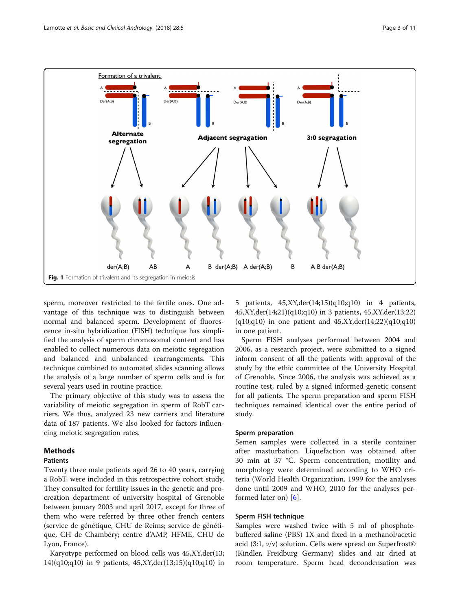<span id="page-2-0"></span>

sperm, moreover restricted to the fertile ones. One advantage of this technique was to distinguish between normal and balanced sperm. Development of fluorescence in-situ hybridization (FISH) technique has simplified the analysis of sperm chromosomal content and has enabled to collect numerous data on meiotic segregation and balanced and unbalanced rearrangements. This technique combined to automated slides scanning allows the analysis of a large number of sperm cells and is for several years used in routine practice.

The primary objective of this study was to assess the variability of meiotic segregation in sperm of RobT carriers. We thus, analyzed 23 new carriers and literature data of 187 patients. We also looked for factors influencing meiotic segregation rates.

## Methods

## Patients

Twenty three male patients aged 26 to 40 years, carrying a RobT, were included in this retrospective cohort study. They consulted for fertility issues in the genetic and procreation department of university hospital of Grenoble between january 2003 and april 2017, except for three of them who were referred by three other french centers (service de génétique, CHU de Reims; service de génétique, CH de Chambéry; centre d'AMP, HFME, CHU de Lyon, France).

Karyotype performed on blood cells was 45,XY,der(13; 14)(q10;q10) in 9 patients, 45,XY,der(13;15)(q10;q10) in

5 patients, 45,XY,der(14;15)(q10;q10) in 4 patients, 45,XY,der(14;21)(q10;q10) in 3 patients, 45,XY,der(13;22)  $(q10;q10)$  in one patient and  $45, XY, der(14;22)(q10;q10)$ in one patient.

Sperm FISH analyses performed between 2004 and 2006, as a research project, were submitted to a signed inform consent of all the patients with approval of the study by the ethic committee of the University Hospital of Grenoble. Since 2006, the analysis was achieved as a routine test, ruled by a signed informed genetic consent for all patients. The sperm preparation and sperm FISH techniques remained identical over the entire period of study.

## Sperm preparation

Semen samples were collected in a sterile container after masturbation. Liquefaction was obtained after 30 min at 37 °C. Sperm concentration, motility and morphology were determined according to WHO criteria (World Health Organization, 1999 for the analyses done until 2009 and WHO, 2010 for the analyses performed later on) [\[6](#page-9-0)].

## Sperm FISH technique

Samples were washed twice with 5 ml of phosphatebuffered saline (PBS) 1X and fixed in a methanol/acetic acid (3:1, v/v) solution. Cells were spread on Superfrost© (Kindler, Freidburg Germany) slides and air dried at room temperature. Sperm head decondensation was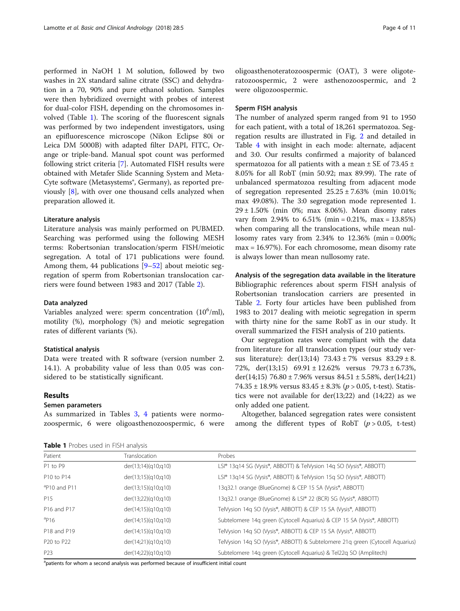performed in NaOH 1 M solution, followed by two washes in 2X standard saline citrate (SSC) and dehydration in a 70, 90% and pure ethanol solution. Samples were then hybridized overnight with probes of interest for dual-color FISH, depending on the chromosomes involved (Table 1). The scoring of the fluorescent signals was performed by two independent investigators, using an epifluorescence microscope (Nikon Eclipse 80i or Leica DM 5000B) with adapted filter DAPI, FITC, Orange or triple-band. Manual spot count was performed following strict criteria [[7\]](#page-9-0). Automated FISH results were obtained with Metafer Slide Scanning System and Meta-Cyte software (Metasystems<sup>®</sup>, Germany), as reported previously [[8\]](#page-9-0), with over one thousand cells analyzed when preparation allowed it.

## Literature analysis

Literature analysis was mainly performed on PUBMED. Searching was performed using the following MESH terms: Robertsonian translocation/sperm FISH/meiotic segregation. A total of 171 publications were found. Among them, 44 publications [[9](#page-9-0)–[52](#page-10-0)] about meiotic segregation of sperm from Robertsonian translocation carriers were found between 1983 and 2017 (Table [2\)](#page-4-0).

## Data analyzed

Variables analyzed were: sperm concentration (10<sup>6</sup>/ml), motility (%), morphology (%) and meiotic segregation rates of different variants (%).

## Statistical analysis

Data were treated with R software (version number 2. 14.1). A probability value of less than 0.05 was considered to be statistically significant.

## Results

## Semen parameters

As summarized in Tables [3,](#page-5-0) [4](#page-6-0) patients were normozoospermic, 6 were oligoasthenozoospermic, 6 were

| Table 1 Probes used in FISH analysis |  |  |
|--------------------------------------|--|--|
|--------------------------------------|--|--|

oligoasthenoteratozoospermic (OAT), 3 were oligoteratozoospermic, 2 were asthenozoospermic, and 2 were oligozoospermic.

## Sperm FISH analysis

The number of analyzed sperm ranged from 91 to 1950 for each patient, with a total of 18,261 spermatozoa. Segregation results are illustrated in Fig. [2](#page-7-0) and detailed in Table [4](#page-6-0) with insight in each mode: alternate, adjacent and 3:0. Our results confirmed a majority of balanced spermatozoa for all patients with a mean  $\pm$  SE of 73.45  $\pm$ 8.05% for all RobT (min 50.92; max 89.99). The rate of unbalanced spermatozoa resulting from adjacent mode of segregation represented  $25.25 \pm 7.63\%$  (min 10.01%; max 49.08%). The 3:0 segregation mode represented 1. 29 ± 1.50% (min 0%; max 8.06%). Mean disomy rates vary from 2.94% to  $6.51\%$  (min = 0.21%, max = 13.85%) when comparing all the translocations, while mean nullosomy rates vary from  $2.34\%$  to  $12.36\%$  (min = 0.00%; max = 16.97%). For each chromosome, mean disomy rate is always lower than mean nullosomy rate.

## Analysis of the segregation data available in the literature

Bibliographic references about sperm FISH analysis of Robertsonian translocation carriers are presented in Table [2.](#page-4-0) Forty four articles have been published from 1983 to 2017 dealing with meiotic segregation in sperm with thirty nine for the same RobT as in our study. It overall summarized the FISH analysis of 210 patients.

Our segregation rates were compliant with the data from literature for all translocation types (our study versus literature): der(13;14) 73.43 ± 7% versus 83.29 ± 8. 72%, der(13;15) 69.91 ± 12.62% versus 79.73 ± 6.73%, der(14;15) 76.80 ± 7.96% versus 84.51 ± 5.58%, der(14;21) 74.35 ± 18.9% versus  $83.45 \pm 8.3$ % ( $p > 0.05$ , t-test). Statistics were not available for  $der(13;22)$  and  $(14;22)$  as we only added one patient.

Altogether, balanced segregation rates were consistent among the different types of RobT  $(p > 0.05, t-test)$ 

| Patient                  | <b>Translocation</b> | Probes                                                                        |
|--------------------------|----------------------|-------------------------------------------------------------------------------|
| P1 to P9                 | der(13;14)(q10;q10)  | LSI® 13q14 SG (Vysis®, ABBOTT) & TelVysion 14q SO (Vysis®, ABBOTT)            |
| P10 to P14               | der(13;15)(q10;q10)  | LSI® 13q14 SG (Vysis®, ABBOTT) & TelVysion 15q SO (Vysis®, ABBOTT)            |
| <sup>a</sup> P10 and P11 | der(13;15)(q10;q10)  | 13q32.1 orange (BlueGnome) & CEP 15 SA (Vysis®, ABBOTT)                       |
| P <sub>15</sub>          | der(13;22)(q10;q10)  | 13q32.1 orange (BlueGnome) & LSI® 22 (BCR) SG (Vysis®, ABBOTT)                |
| P16 and P17              | der(14;15)(q10;q10)  | TelVysion 14q SO (Vysis®, ABBOTT) & CEP 15 SA (Vysis®, ABBOTT)                |
| ap16                     | der(14;15)(q10;q10)  | Subtelomere 14q green (Cytocell Aquarius) & CEP 15 SA (Vysis®, ABBOTT)        |
| P18 and P19              | der(14;15)(q10;q10)  | TelVysion 14q SO (Vysis®, ABBOTT) & CEP 15 SA (Vysis®, ABBOTT)                |
| P20 to P22               | der(14;21)(q10;q10)  | TelVysion 14q SO (Vysis®, ABBOTT) & Subtelomere 21q green (Cytocell Aquarius) |
| P23                      | der(14;22)(q10;q10)  | Subtelomere 14q green (Cytocell Aquarius) & Tel22q SO (Amplitech)             |

<sup>a</sup>patients for whom a second analysis was performed because of insufficient initial count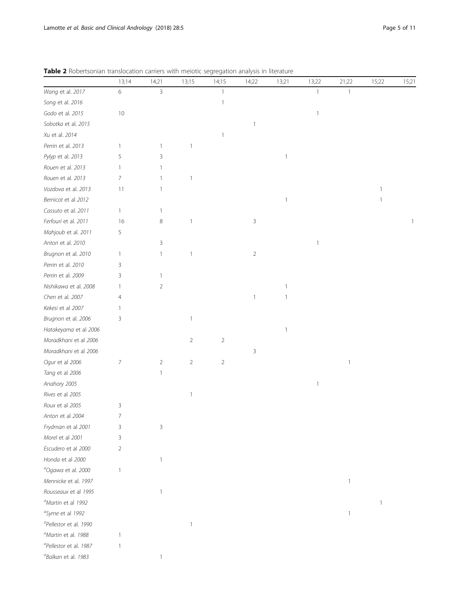|                                    | 13;14          | 14;21                    | 13;15          | 14;15          | 14;22        | 13;21        | 13;22          | 21;22 | 15;22        | 15;21 |
|------------------------------------|----------------|--------------------------|----------------|----------------|--------------|--------------|----------------|-------|--------------|-------|
| Wang et al. 2017                   | 6              | 3                        |                | $\mathbf{1}$   |              |              | $\mathbf{1}$   | 1     |              |       |
| Song et al. 2016                   |                |                          |                | $\mathbf{1}$   |              |              |                |       |              |       |
| Godo et al. 2015                   | $10$           |                          |                |                |              |              | $\mathbf{1}$   |       |              |       |
| Sobotka et al. 2015                |                |                          |                |                | $\mathbf{1}$ |              |                |       |              |       |
| Xu et al. 2014                     |                |                          |                | $\mathbf{1}$   |              |              |                |       |              |       |
| Perrin et al. 2013                 | $\mathbf{1}$   | $\mathbf{1}$             | 1              |                |              |              |                |       |              |       |
| Pylyp et al. 2013                  | 5              | 3                        |                |                |              | $\mathbf{1}$ |                |       |              |       |
| Rouen et al. 2013                  | 1              | $\overline{\phantom{a}}$ |                |                |              |              |                |       |              |       |
| Rouen et al. 2013                  | 7              | $\mathbf{1}$             | 1              |                |              |              |                |       |              |       |
| Vozdova et al. 2013                | 11             | $\mathbf{1}$             |                |                |              |              |                |       | $\mathbf{1}$ |       |
| Bernicot et al 2012                |                |                          |                |                |              | $\mathbf{1}$ |                |       | $\mathbf{1}$ |       |
| Cassuto et al. 2011                | $\mathbf{1}$   | $\mathbf{1}$             |                |                |              |              |                |       |              |       |
| Ferfouri et al. 2011               | 16             | 8                        | 1              |                | 3            |              |                |       |              |       |
| Mahjoub et al. 2011                | 5              |                          |                |                |              |              |                |       |              |       |
| Anton et al. 2010                  |                | 3                        |                |                |              |              | $\mathbf{1}$   |       |              |       |
| Brugnon et al. 2010                | $\mathbf{1}$   | $\mathbf{1}$             | -1             |                | $\sqrt{2}$   |              |                |       |              |       |
| Perrin et al. 2010                 | 3              |                          |                |                |              |              |                |       |              |       |
| Perrin et al. 2009                 | 3              | $\mathbf{1}$             |                |                |              |              |                |       |              |       |
| Nishikawa et al. 2008              | 1              | $\overline{2}$           |                |                |              | 1            |                |       |              |       |
| Chen et al. 2007                   | 4              |                          |                |                | $\mathbf{1}$ | $\mathbf{1}$ |                |       |              |       |
| Kekesi et al 2007                  | 1              |                          |                |                |              |              |                |       |              |       |
| Brugnon et al. 2006                | 3              |                          | 1              |                |              |              |                |       |              |       |
| Hatakeyama et al 2006              |                |                          |                |                |              | $\mathbf{1}$ |                |       |              |       |
| Moradkhani et al 2006              |                |                          | $\overline{2}$ | $\overline{2}$ |              |              |                |       |              |       |
| Moradkhani et al 2006              |                |                          |                |                | 3            |              |                |       |              |       |
| Ogur et al 2006                    | $\overline{7}$ | $\overline{2}$           | $\overline{c}$ | $\sqrt{2}$     |              |              |                | 1     |              |       |
| Tang et al 2006                    |                | $\mathbf{1}$             |                |                |              |              |                |       |              |       |
| Anahory 2005                       |                |                          |                |                |              |              | $\overline{1}$ |       |              |       |
| Rives et al 2005                   |                |                          | 1              |                |              |              |                |       |              |       |
| Roux et al 2005                    | 3              |                          |                |                |              |              |                |       |              |       |
| Anton et al 2004                   | $\overline{7}$ |                          |                |                |              |              |                |       |              |       |
| Frydman et al 2001                 | 3              | 3                        |                |                |              |              |                |       |              |       |
| Morel et al 2001                   | 3              |                          |                |                |              |              |                |       |              |       |
| Escudero et al 2000                | $\overline{2}$ |                          |                |                |              |              |                |       |              |       |
| Honda et al 2000                   |                | $\mathbf{1}$             |                |                |              |              |                |       |              |       |
| <sup>a</sup> Ogawa et al. 2000     | 1              |                          |                |                |              |              |                |       |              |       |
| Mennicke et al. 1997               |                |                          |                |                |              |              |                | 1     |              |       |
| Rousseaux et al 1995               |                | $\overline{1}$           |                |                |              |              |                |       |              |       |
| <sup>a</sup> Martin et al 1992     |                |                          |                |                |              |              |                |       | $\mathbf{1}$ |       |
| <sup>a</sup> Syme et al 1992       |                |                          |                |                |              |              |                | 1     |              |       |
| <sup>a</sup> Pellestor et al. 1990 |                |                          | 1              |                |              |              |                |       |              |       |
| <sup>a</sup> Martin et al. 1988    | $\mathbf{1}$   |                          |                |                |              |              |                |       |              |       |
| <sup>a</sup> Pellestor et al. 1987 | $\mathbf{1}$   |                          |                |                |              |              |                |       |              |       |
| <sup>a</sup> Balkan et al. 1983    |                | $\mathbf{1}$             |                |                |              |              |                |       |              |       |

<span id="page-4-0"></span>Table 2 Robertsonian translocation carriers with meiotic segregation analysis in literature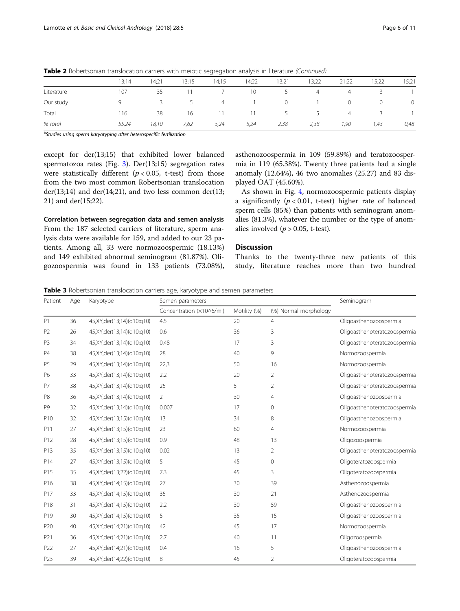|            | 13:14 | 14;21          | 13;15       | 14;15                  | 14:22               | 13;21         | 13;22               | 21:22    | 15;22         | 15;21   |
|------------|-------|----------------|-------------|------------------------|---------------------|---------------|---------------------|----------|---------------|---------|
| Literature | 107   | 35             | 11          | $7\overline{)}$        | 10                  | $\mathcal{P}$ | 4                   | 4        | 3.            |         |
| Our study  |       | $\overline{3}$ | $5^{\circ}$ | $4 \quad \blacksquare$ | $\sim$ 1 and $\sim$ |               | $0 \qquad \qquad 1$ | $\Omega$ | U             | $\circ$ |
| Total      | 116   | 38             | 16          | $11 - 11$              | $-11$               |               | $5 \quad 5$         | 4        | $\mathcal{R}$ |         |
| % total    | 55,24 | 18,10          | 7,62        | 5,24                   | 5,24                | 2,38          | 2,38                | 1,90     | 1,43          | 0,48    |

<span id="page-5-0"></span>Table 2 Robertsonian translocation carriers with meiotic segregation analysis in literature (Continued)

<sup>a</sup>Studies using sperm karyotyping after heterospecific fertilization

except for der(13;15) that exhibited lower balanced spermatozoa rates (Fig. [3](#page-7-0)). Der(13;15) segregation rates were statistically different ( $p < 0.05$ , t-test) from those from the two most common Robertsonian translocation der(13;14) and der(14;21), and two less common der(13; 21) and der(15;22).

Correlation between segregation data and semen analysis From the 187 selected carriers of literature, sperm analysis data were available for 159, and added to our 23 patients. Among all, 33 were normozoospermic (18.13%) and 149 exhibited abnormal seminogram (81.87%). Oligozoospermia was found in 133 patients (73.08%), asthenozoospermia in 109 (59.89%) and teratozoospermia in 119 (65.38%). Twenty three patients had a single anomaly (12.64%), 46 two anomalies (25.27) and 83 displayed OAT (45.60%).

As shown in Fig. [4](#page-8-0), normozoospermic patients display a significantly  $(p < 0.01$ , t-test) higher rate of balanced sperm cells (85%) than patients with seminogram anomalies (81.3%), whatever the number or the type of anomalies involved ( $p > 0.05$ , t-test).

## Discussion

Thanks to the twenty-three new patients of this study, literature reaches more than two hundred

Table 3 Robertsonian translocation carriers age, karyotype and semen parameters

| Patient         | Age | Karyotype                       | Semen parameters         | Seminogram   |                       |                              |
|-----------------|-----|---------------------------------|--------------------------|--------------|-----------------------|------------------------------|
|                 |     |                                 | Concentration (x10^6/ml) | Motility (%) | (%) Normal morphology |                              |
| P1              | 36  | 45, XY, der(13; 14) (q10; q10)  | 4,5                      | 20           | 4                     | Oligoasthenozoospermia       |
| P <sub>2</sub>  | 26  | 45, XY, der(13; 14) (q10; q10)  | 0,6                      | 36           | 3                     | Oligoasthenoteratozoospermia |
| P <sub>3</sub>  | 34  | 45, XY, der(13; 14) (q10; q10)  | 0,48                     | 17           | 3                     | Oligoasthenoteratozoospermia |
| P <sub>4</sub>  | 38  | 45, XY, der (13; 14) (q10; q10) | 28                       | 40           | 9                     | Normozoospermia              |
| P <sub>5</sub>  | 29  | 45, XY, der(13; 14) (q10; q10)  | 22,3                     | 50           | 16                    | Normozoospermia              |
| P6              | 33  | 45, XY, der(13; 14) (q10; q10)  | 2,2                      | 20           | $\overline{2}$        | Oligoasthenoteratozoospermia |
| P7              | 38  | 45, XY, der(13; 14) (q10; q10)  | 25                       | 5            | 2                     | Oligoasthenoteratozoospermia |
| P <sub>8</sub>  | 36  | 45, XY, der(13; 14) (q10; q10)  | 2                        | 30           | 4                     | Oligoasthenozoospermia       |
| P <sub>9</sub>  | 32  | 45, XY, der(13; 14) (q10; q10)  | 0.007                    | 17           | $\mathbb O$           | Oligoasthenoteratozoospermia |
| P10             | 32  | 45, XY, der(13; 15) (q10; q10)  | 13                       | 34           | 8                     | Oligoasthenozoospermia       |
| P11             | 27  | 45, XY, der(13; 15) (q10; q10)  | 23                       | 60           | 4                     | Normozoospermia              |
| P12             | 28  | 45, XY, der(13; 15) (q10; q10)  | 0,9                      | 48           | 13                    | Oligozoospermia              |
| P13             | 35  | 45, XY, der(13; 15) (q10; q10)  | 0,02                     | 13           | $\overline{2}$        | Oligoasthenoteratozoospermia |
| P14             | 27  | 45, XY, der (13; 15) (q10; q10) | 5                        | 45           | $\mathbf 0$           | Oligoteratozoospermia        |
| P15             | 35  | 45, XY, der (13; 22) (q10; q10) | 7,3                      | 45           | 3                     | Oligoteratozoospermia        |
| P <sub>16</sub> | 38  | 45, XY, der(14; 15) (q10; q10)  | 27                       | 30           | 39                    | Asthenozoospermia            |
| P17             | 33  | 45, XY, der(14; 15) (q10; q10)  | 35                       | 30           | 21                    | Asthenozoospermia            |
| P18             | 31  | 45, XY, der(14; 15) (q10; q10)  | 2,2                      | 30           | 59                    | Oligoasthenozoospermia       |
| P19             | 30  | 45, XY, der(14; 15) (q10; q10)  | 5                        | 35           | 15                    | Oligoasthenozoospermia       |
| P20             | 40  | 45, XY, der(14; 21) (q10; q10)  | 42                       | 45           | 17                    | Normozoospermia              |
| P21             | 36  | 45, XY, der(14; 21) (q10; q10)  | 2,7                      | 40           | 11                    | Oligozoospermia              |
| P22             | 27  | 45, XY, der(14; 21) (q10; q10)  | 0,4                      | 16           | 5                     | Oligoasthenozoospermia       |
| P23             | 39  | 45, XY, der (14; 22) (q10; q10) | 8                        | 45           | 2                     | Oligoteratozoospermia        |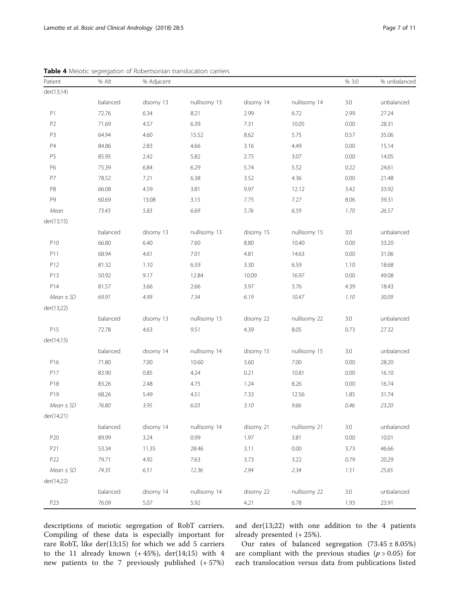| Patient        | % Alt    | % Adjacent |              |           |              | % 3:0 | % unbalanced |
|----------------|----------|------------|--------------|-----------|--------------|-------|--------------|
| der(13;14)     |          |            |              |           |              |       |              |
|                | balanced | disomy 13  | nullisomy 13 | disomy 14 | nullisomy 14 | 3:0   | unbalanced   |
| P1             | 72.76    | 6.34       | 8.21         | 2.99      | 6.72         | 2.99  | 27.24        |
| P <sub>2</sub> | 71.69    | 4.57       | 6.39         | 7.31      | 10.05        | 0.00  | 28.31        |
| P3             | 64.94    | 4.60       | 15.52        | 8.62      | 5.75         | 0.57  | 35.06        |
| P4             | 84.86    | 2.83       | 4.66         | 3.16      | 4.49         | 0.00  | 15.14        |
| P5             | 85.95    | 2.42       | 5.82         | 2.75      | 3.07         | 0.00  | 14.05        |
| P6             | 75.39    | 6.84       | 6.29         | 5.74      | 5.52         | 0.22  | 24.61        |
| P7             | 78.52    | 7.21       | 6.38         | 3.52      | 4.36         | 0.00  | 21.48        |
| P8             | 66.08    | 4.59       | 3.81         | 9.97      | 12.12        | 3.42  | 33.92        |
| P9             | 60.69    | 13.08      | 3.15         | 7.75      | 7.27         | 8.06  | 39.31        |
| Mean           | 73.43    | 5.83       | 6.69         | 5.76      | 6.59         | 1.70  | 26.57        |
| der(13;15)     |          |            |              |           |              |       |              |
|                | balanced | disomy 13  | nullisomy 13 | disomy 15 | nullisomy 15 | 3:0   | unbalanced   |
| P10            | 66.80    | 6.40       | 7.60         | 8.80      | 10.40        | 0.00  | 33.20        |
| P11            | 68.94    | 4.61       | 7.01         | 4.81      | 14.63        | 0.00  | 31.06        |
| P12            | 81.32    | 1.10       | 6.59         | 3.30      | 6.59         | 1.10  | 18.68        |
| P13            | 50.92    | 9.17       | 12.84        | 10.09     | 16.97        | 0.00  | 49.08        |
| P14            | 81.57    | 3.66       | 2.66         | 3.97      | 3.76         | 4.39  | 18.43        |
| $Mean \pm SD$  | 69.91    | 4.99       | 7.34         | 6.19      | 10.47        | 1.10  | 30.09        |
| der(13;22)     |          |            |              |           |              |       |              |
|                | balanced | disomy 13  | nullisomy 13 | disomy 22 | nullisomy 22 | 3:0   | unbalanced   |
| P15            | 72.78    | 4.63       | 9.51         | 4.39      | 8.05         | 0.73  | 27.32        |
| der(14;15)     |          |            |              |           |              |       |              |
|                | balanced | disomy 14  | nullisomy 14 | disomy 15 | nullisomy 15 | 3:0   | unbalanced   |
| P16            | 71.80    | 7.00       | 10.60        | 3.60      | 7.00         | 0.00  | 28.20        |
| P17            | 83.90    | 0.85       | 4.24         | 0.21      | 10.81        | 0.00  | 16.10        |
| P18            | 83.26    | 2.48       | 4.75         | 1.24      | 8.26         | 0.00  | 16.74        |
| P19            | 68.26    | 5.49       | 4.51         | 7.33      | 12.56        | 1.85  | 31.74        |
| $Mean \pm SD$  | 76.80    | 3.95       | 6.03         | 3.10      | 9.66         | 0.46  | 23.20        |
| der(14;21)     |          |            |              |           |              |       |              |
|                | balanced | disomy 14  | nullisomy 14 | disomy 21 | nullisomy 21 | 3:0   | unbalanced   |
| P20            | 89.99    | 3.24       | 0.99         | 1.97      | 3.81         | 0.00  | 10.01        |
| P21            | 53.34    | 11.35      | 28.46        | 3.11      | 0.00         | 3.73  | 46.66        |
| P22            | 79.71    | 4.92       | 7.63         | 3.73      | 3.22         | 0.79  | 20.29        |
| $Mean \pm SD$  | 74.35    | 6.51       | 12.36        | 2.94      | 2.34         | 1.51  | 25.65        |
| der(14;22)     |          |            |              |           |              |       |              |
|                | balanced | disomy 14  | nullisomy 14 | disomy 22 | nullisomy 22 | 3:0   | unbalanced   |
| P23            | 76.09    | 5.07       | 5.92         | 4.21      | 6.78         | 1.93  | 23.91        |

<span id="page-6-0"></span>Table 4 Meiotic segregation of Robertsonian translocation carriers

descriptions of meiotic segregation of RobT carriers. Compiling of these data is especially important for rare RobT, like der(13;15) for which we add 5 carriers to the 11 already known  $(+45%)$ , der $(14;15)$  with 4 new patients to the 7 previously published (+ 57%)

and der(13;22) with one addition to the 4 patients already presented (+ 25%).

Our rates of balanced segregation (73.45 ± 8.05%) are compliant with the previous studies  $(p > 0.05)$  for each translocation versus data from publications listed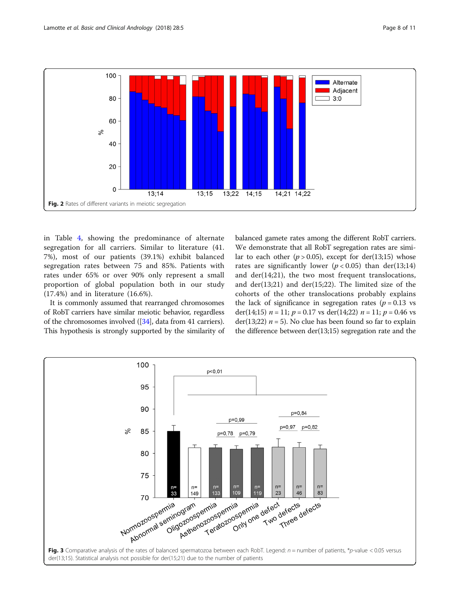<span id="page-7-0"></span>

in Table [4](#page-6-0), showing the predominance of alternate segregation for all carriers. Similar to literature (41. 7%), most of our patients (39.1%) exhibit balanced segregation rates between 75 and 85%. Patients with rates under 65% or over 90% only represent a small proportion of global population both in our study (17.4%) and in literature (16.6%).

It is commonly assumed that rearranged chromosomes of RobT carriers have similar meiotic behavior, regardless of the chromosomes involved ([[34](#page-10-0)], data from 41 carriers). This hypothesis is strongly supported by the similarity of

balanced gamete rates among the different RobT carriers. We demonstrate that all RobT segregation rates are similar to each other  $(p > 0.05)$ , except for der(13;15) whose rates are significantly lower ( $p < 0.05$ ) than der(13;14) and der(14;21), the two most frequent translocations, and der $(13;21)$  and der $(15;22)$ . The limited size of the cohorts of the other translocations probably explains the lack of significance in segregation rates ( $p = 0.13$  vs der(14;15)  $n = 11$ ;  $p = 0.17$  vs der(14;22)  $n = 11$ ;  $p = 0.46$  vs  $der(13;22)$   $n = 5$ ). No clue has been found so far to explain the difference between der(13;15) segregation rate and the

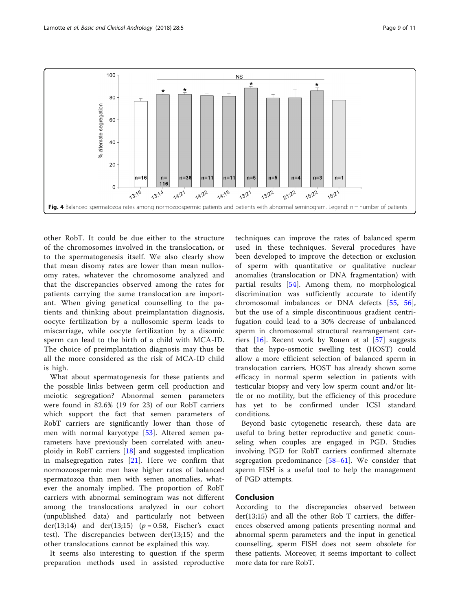<span id="page-8-0"></span>

other RobT. It could be due either to the structure of the chromosomes involved in the translocation, or to the spermatogenesis itself. We also clearly show that mean disomy rates are lower than mean nullosomy rates, whatever the chromosome analyzed and that the discrepancies observed among the rates for patients carrying the same translocation are important. When giving genetical counselling to the patients and thinking about preimplantation diagnosis, oocyte fertilization by a nullosomic sperm leads to miscarriage, while oocyte fertilization by a disomic sperm can lead to the birth of a child with MCA-ID. The choice of preimplantation diagnosis may thus be all the more considered as the risk of MCA-ID child is high.

What about spermatogenesis for these patients and the possible links between germ cell production and meiotic segregation? Abnormal semen parameters were found in 82.6% (19 for 23) of our RobT carriers which support the fact that semen parameters of RobT carriers are significantly lower than those of men with normal karyotype [\[53](#page-10-0)]. Altered semen parameters have previously been correlated with aneuploidy in RobT carriers [[18\]](#page-9-0) and suggested implication in malsegregation rates [\[21](#page-9-0)]. Here we confirm that normozoospermic men have higher rates of balanced spermatozoa than men with semen anomalies, whatever the anomaly implied. The proportion of RobT carriers with abnormal seminogram was not different among the translocations analyzed in our cohort (unpublished data) and particularly not between der(13;14) and der(13;15)  $(p = 0.58,$  Fischer's exact test). The discrepancies between der(13;15) and the other translocations cannot be explained this way.

It seems also interesting to question if the sperm preparation methods used in assisted reproductive

techniques can improve the rates of balanced sperm used in these techniques. Several procedures have been developed to improve the detection or exclusion of sperm with quantitative or qualitative nuclear anomalies (translocation or DNA fragmentation) with partial results [[54\]](#page-10-0). Among them, no morphological discrimination was sufficiently accurate to identify chromosomal imbalances or DNA defects [\[55](#page-10-0), [56](#page-10-0)], but the use of a simple discontinuous gradient centrifugation could lead to a 30% decrease of unbalanced sperm in chromosomal structural rearrangement carriers  $[16]$  $[16]$ . Recent work by Rouen et al  $[57]$  $[57]$  suggests that the hypo-osmotic swelling test (HOST) could allow a more efficient selection of balanced sperm in translocation carriers. HOST has already shown some efficacy in normal sperm selection in patients with testicular biopsy and very low sperm count and/or little or no motility, but the efficiency of this procedure has yet to be confirmed under ICSI standard conditions.

Beyond basic cytogenetic research, these data are useful to bring better reproductive and genetic counseling when couples are engaged in PGD. Studies involving PGD for RobT carriers confirmed alternate segregation predominance  $[58-61]$  $[58-61]$  $[58-61]$  $[58-61]$ . We consider that sperm FISH is a useful tool to help the management of PGD attempts.

## Conclusion

According to the discrepancies observed between  $der(13;15)$  and all the other Rob T carriers, the differences observed among patients presenting normal and abnormal sperm parameters and the input in genetical counselling, sperm FISH does not seem obsolete for these patients. Moreover, it seems important to collect more data for rare RobT.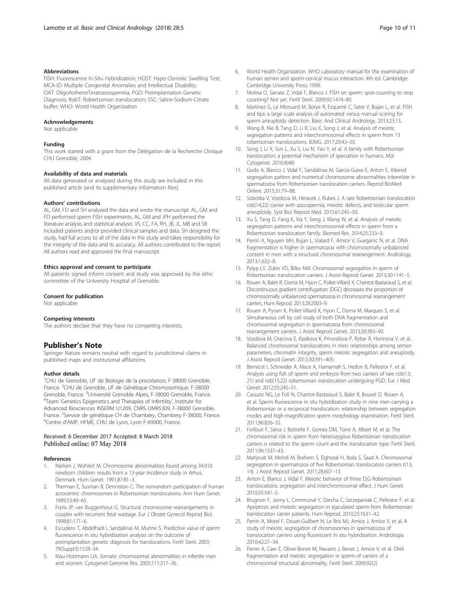## <span id="page-9-0"></span>Abbreviations

FISH: Fluorescence In-Situ Hybridization; HOST: Hypo-Osmotic Swelling Test; MCA-ID: Multiple Congenital Anomalies and Intellectual Disability; OAT: OligoAsthenoTeratozoospermia; PGD: Preimplantation Genetic Diagnosis; RobT: Robertsonian translocation; SSC: Saline-Sodium-Citrate buffer; WHO: World Health Organization

## Acknowledgements

Not applicable

#### Funding

This work started with a grant from the Délégation de la Recherche Clinique CHU Grenoble, 2004.

## Availability of data and materials

All data generated or analysed during this study are included in this published article (and its supplementary information files).

#### Authors' contributions

AL, GM, FD and SH analyzed the data and wrote the manuscript. AL, GM and FD performed sperm FISH experiments. AL, GM and JPH performed the literature analysis and statistical analysis. VS, CC, FA, RH, JB, JL, MB and SB included patients and/or provided clinical samples and data. SH designed the study, had full access to all of the data in the study and takes responsibility for the integrity of the data and its accuracy. All authors contributed to the report. All authors read and approved the final manuscript.

#### Ethics approval and consent to participate

All patients signed inform consent and study was approved by the ethic committee of the University Hospital of Grenoble.

#### Consent for publication

Not applicable

#### Competing interests

The authors declare that they have no competing interests.

## Publisher's Note

Springer Nature remains neutral with regard to jurisdictional claims in published maps and institutional affiliations.

#### Author details

<sup>1</sup>CHU de Grenoble, UF de Biologie de la procréation, F-38000 Grenoble, France. <sup>2</sup>CHU de Grenoble, UF de Génétique Chromosomique, F-38000 Grenoble, France. <sup>3</sup>Université Grenoble Alpes, F-38000 Grenoble, France.<br><sup>4</sup>Toam 'Gonatics Enigenetics and Therapies of Infortility', Institute for <sup>4</sup>Team 'Genetics Epigenetics and Therapies of Infertility', Institute for Advanced Biosciences INSERM U1209, CNRS UMR5309, F-38000 Grenoble, France. <sup>5</sup>Service de génétique CH de Chambéry, Chambery F-38000, France.<br><sup>6</sup>Contre d'AMP, HEME, CHU de Lyon, Lyon E 69000, France. <sup>6</sup>Centre d'AMP, HFME, CHU de Lyon, Lyon F-69000, France.

## Received: 6 December 2017 Accepted: 8 March 2018 Published online: 07 May 2018

#### References

- 1. Nielsen J, Wohlert M. Chromosome abnormalities found among 34,910 newborn children: results from a 13-year incidence study in Arhus, Denmark. Hum Genet. 1991;87:81–3.
- 2. Therman E, Susman B, Denniston C. The nonrandom participation of human acrocentric chromosomes in Robertsonian translocations. Ann Hum Genet. 1989;53:49–65.
- 3. Fryns JP, van Buggenhout G. Structural chromosome rearrangements in couples with recurrent fetal wastage. Eur J Obstet Gynecol Reprod Biol. 1998;81:171–6.
- 4. Escudero T, Abdelhadi I, Sandalinas M, Munne S. Predictive value of sperm fluorescence in situ hybridization analysis on the outcome of preimplantation genetic diagnosis for translocations. Fertil Steril. 2003; 79(Suppl3):1528–34.
- 5. Mau-Holzmann UA. Somatic chromosomal abnormalities in infertile men and women. Cytogenet Genome Res. 2005;111:317–36.
- 6. World Health Organization. WHO Laboratory manual for the examination of human semen and sperm-cervical mucus interaction. 4th ed. Cambridge: Cambridge University Press; 1999.
- 7. Molina O, Sarrate Z, Vidal F, Blanco J. FISH on sperm: spot-counting to stop counting? Not yet. Fertil Steril. 2009;92:1474–80.
- 8. Martinez G, Le Mitouard M, Borye R, Esquerré C, Satre V, Bujan L, et al. FISH and tips: a large scale analysis of automated versus manual scoring for sperm aneuploidy detection. Basic And Clinical Andrology. 2013;23:13.
- 9. Wang B, Nie B, Tang D, Li R, Liu X, Song J, et al. Analysis of meiotic segregation patterns and interchromosomal effects in sperm from 13 robertsonian translocations. BJMG. 2017;20:43–50.
- 10. Song J, Li X, Sun L, Xu S, Liu N, Yao Y, et al. A family with Robertsonian translocation: a potential mechanism of speciation in humans. Mol Cytogenet. 2016;9(48)
- 11. Godo A, Blanco J, Vidal F, Sandalinas M, Garcia-Guixe E, Anton E. Altered segregation pattern and numerical chromosome abnormalities interrelate in spermatozoa from Robertsonian translocation carriers. Reprod BioMed Online. 2015;31:79–88.
- 12. Sobotka V, Vozdova M, Heracek J, Rubes J. A rare Robertsonian translocation rob(14;22) carrier with azoospermia, meiotic defects, and testicular sperm aneuploidy. Syst Biol Reprod Med. 2015;61:245–50.
- 13. Xu S, Tang D, Fang K, Xia Y, Song J, Wang W, et al. Analysis of meiotic segregation patterns and interchromosomal effects in sperm from a Robertsonian translocation family. Biomed Res. 2014;25:233–9.
- 14. Perrin A, Nguyen MH, Bujan L, Vialard F, Amice V, Gueganic N, et al. DNA fragmentation is higher in spermatozoa with chromosomally unbalanced content in men with a structural chromosomal rearrangement. Andrology. 2013;1:632–8.
- 15. Pylyp LY, Zukin VD, Bilko NM. Chromosomal segregation in sperm of Robertsonian translocation carriers. J Assist Reprod Genet. 2013;30:1141–5.
- 16. Rouen A, Balet R, Dorna M, Hyon C, Pollet-Villard X, Chantot-Bastaraud S, et al. Discontinuous gradient centrifugation (DGC) decreases the proportion of chromosomally unbalanced spermatozoa in chromosomal rearrangement carriers. Hum Reprod. 2013;28:2003–9.
- 17. Rouen A, Pyram K, Pollet-Villard X, Hyon C, Dorna M, Marques S, et al. Simultaneous cell by cell study of both DNA fragmentation and chromosomal segregation in spermatozoa from chromosomal rearrangement carriers. J Assist Reprod Genet. 2013;30:383–90.
- 18. Vozdova M, Oracova E, Kasikova K, Prinosilova P, Rybar R, Horinova V, et al. Balanced chromosomal translocations in men: relationships among semen parameters, chromatin integrity, sperm meiotic segregation and aneuploidy. J Assist Reprod Genet. 2013;30:391–405.
- 19. Bernicot I, Schneider A, Mace A, Hamamah S, Hedon B, Pellestor F, et al. Analysis using fish of sperm and embryos from two carriers of rare rob(13; 21) and rob(15;22) robertsonian translocation undergoing PGD. Eur J Med Genet. 2012;55:245–51.
- 20. Cassuto NG, Le Foll N, Chantot-Bastaraud S, Balet R, Bouret D, Rouen A, et al. Sperm fluorescence in situ hybridization study in nine men carrying a Robertsonian or a reciprocal translocation: relationship between segregation modes and high-magnification sperm morphology examination. Fertil Steril. 2011;96:826–32.
- 21. Ferfouri F, Selva J, Boitrelle F, Gomes DM, Torre A, Albert M, et al. The chromosomal risk in sperm from heterozygous Robertsonian translocation carriers is related to the sperm count and the translocation type. Fertil Steril. 2011;96:1337–43.
- 22. Mahjoub M, Mehdi M, Brahem S, Elghezal H, Ibala S, Saad A. Chromosomal segregation in spermatozoa of five Robertsonian translocation carriers t(13; 14). J Assist Reprod Genet. 2011;28:607–13.
- 23. Anton E, Blanco J, Vidal F. Meiotic behavior of three D;G Robertsonian translocations: segregation and interchromosomal effect. J Hum Genet. 2010;55:541–5.
- 24. Brugnon F, Janny L, Communal Y, Darcha C, Szczepaniak C, Pellestor F, et al. Apoptosis and meiotic segregation in ejaculated sperm from Robertsonian translocation carrier patients. Hum Reprod. 2010;25:1631–42.
- 25. Perrin A, Morel F, Douet-Guilbert N, Le Bris MJ, Amice J, Amice V, et al. A study of meiotic segregation of chromosomes in spermatozoa of translocation carriers using fluorescent in situ hybridisation. Andrologia. 2010;42:27–34.
- 26. Perrin A, Caer E, Oliver-Bonet M, Navarro J, Benet J, Amice V, et al. DNA fragmentation and meiotic segregation in sperm of carriers of a chromosomal structural abnormality. Fertil Steril. 2009;92(2)